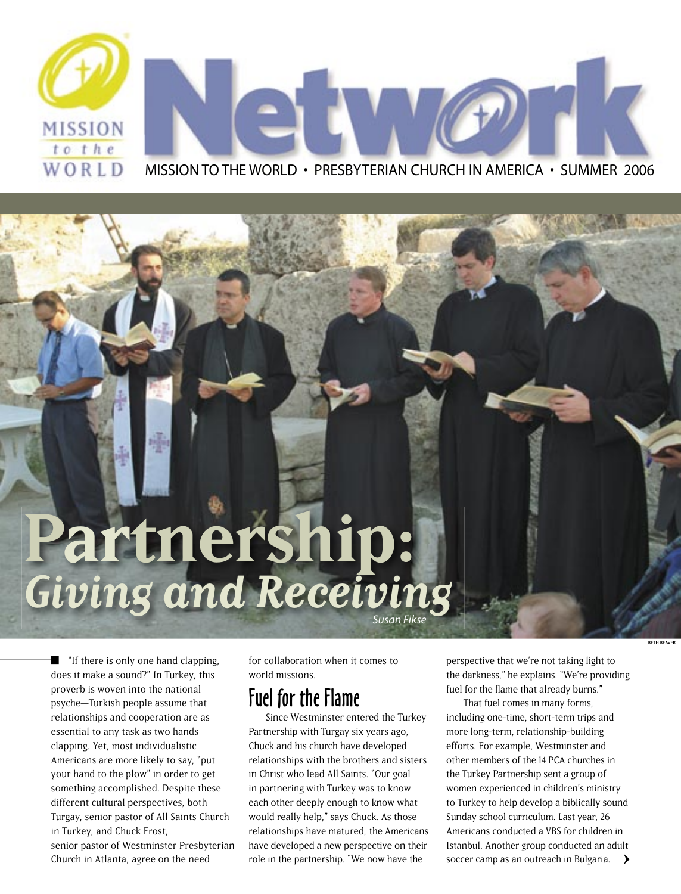

## **Partnership:** *Giving and Receiving*

**I** "If there is only one hand clapping, does it make a sound?" In Turkey, this proverb is woven into the national psyche—Turkish people assume that relationships and cooperation are as essential to any task as two hands clapping. Yet, most individualistic Americans are more likely to say, "put your hand to the plow" in order to get something accomplished. Despite these different cultural perspectives, both Turgay, senior pastor of All Saints Church in Turkey, and Chuck Frost, senior pastor of Westminster Presbyterian Church in Atlanta, agree on the need

for collaboration when it comes to world missions.

#### Fuel for the Flame

Since Westminster entered the Turkey Partnership with Turgay six years ago, Chuck and his church have developed relationships with the brothers and sisters in Christ who lead All Saints. "Our goal in partnering with Turkey was to know each other deeply enough to know what would really help," says Chuck. As those relationships have matured, the Americans have developed a new perspective on their role in the partnership. "We now have the

perspective that we're not taking light to the darkness," he explains. "We're providing fuel for the flame that already burns."

**ETH REAVE** 

That fuel comes in many forms, including one-time, short-term trips and more long-term, relationship-building efforts. For example, Westminster and other members of the 14 PCA churches in the Turkey Partnership sent a group of women experienced in children's ministry to Turkey to help develop a biblically sound Sunday school curriculum. Last year, 26 Americans conducted a VBS for children in Istanbul. Another group conducted an adult soccer camp as an outreach in Bulgaria. **>**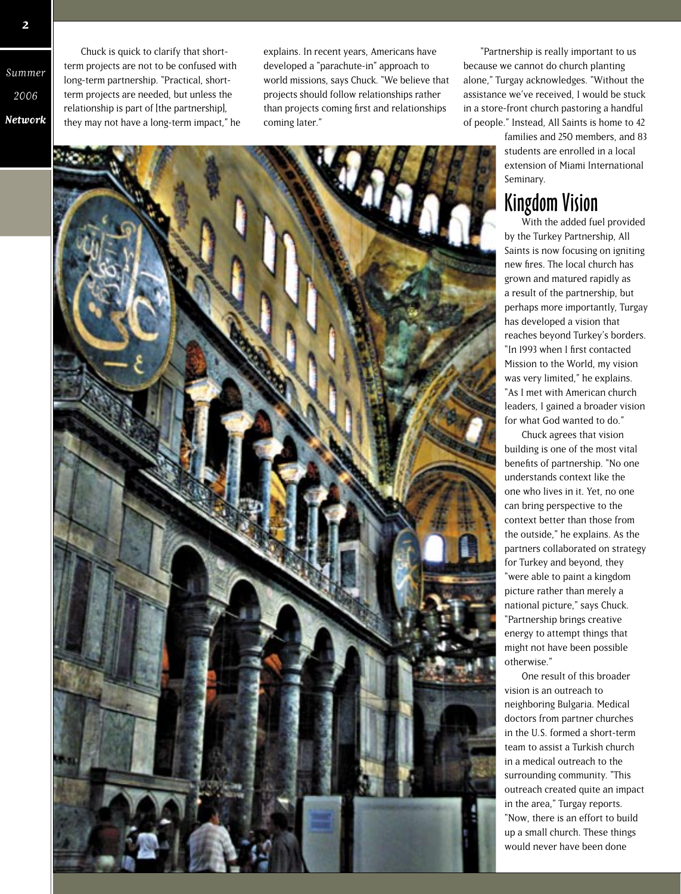Summer 2006 **Network**

Chuck is quick to clarify that shortterm projects are not to be confused with long-term partnership. "Practical, shortterm projects are needed, but unless the relationship is part of [the partnership], they may not have a long-term impact," he explains. In recent years, Americans have developed a "parachute-in" approach to world missions, says Chuck. "We believe that projects should follow relationships rather than projects coming first and relationships coming later."

"Partnership is really important to us because we cannot do church planting alone," Turgay acknowledges. "Without the assistance we've received, I would be stuck in a store-front church pastoring a handful of people." Instead, All Saints is home to 42

> families and 250 members, and 83 students are enrolled in a local extension of Miami International Seminary.

#### Kingdom Vision

With the added fuel provided by the Turkey Partnership, All Saints is now focusing on igniting new fires. The local church has grown and matured rapidly as a result of the partnership, but perhaps more importantly, Turgay has developed a vision that reaches beyond Turkey's borders. "In 1993 when I first contacted Mission to the World, my vision was very limited," he explains. "As I met with American church leaders, I gained a broader vision for what God wanted to do."

Chuck agrees that vision building is one of the most vital benefits of partnership. "No one understands context like the one who lives in it. Yet, no one can bring perspective to the context better than those from the outside," he explains. As the partners collaborated on strategy for Turkey and beyond, they "were able to paint a kingdom picture rather than merely a national picture," says Chuck. "Partnership brings creative energy to attempt things that might not have been possible otherwise."

One result of this broader vision is an outreach to neighboring Bulgaria. Medical doctors from partner churches in the U.S. formed a short-term team to assist a Turkish church in a medical outreach to the surrounding community. "This outreach created quite an impact in the area," Turgay reports. "Now, there is an effort to build up a small church. These things would never have been done

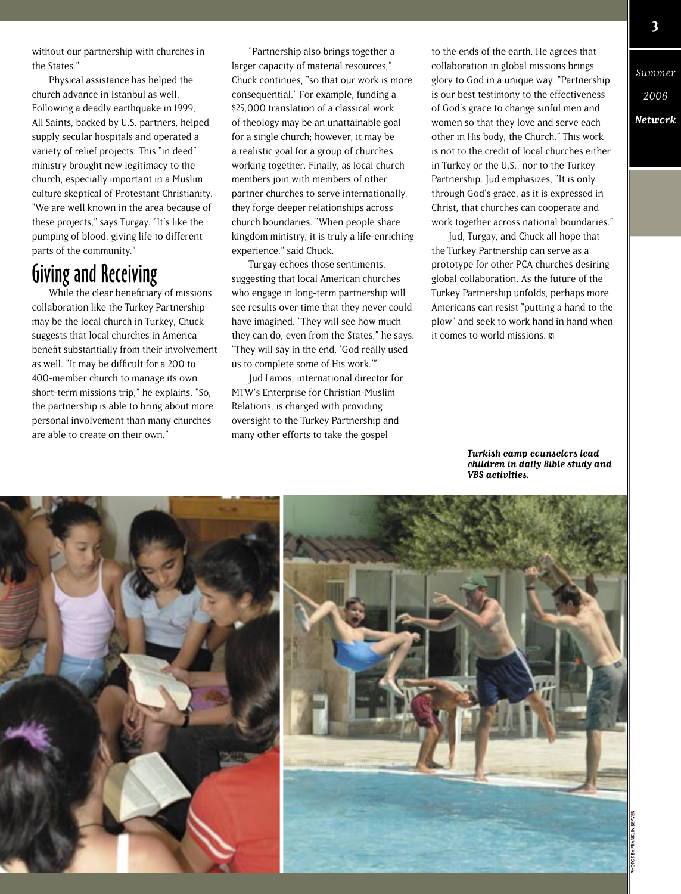without our partnership with churches in the States."

Physical assistance has helped the church advance in Istanbul as well. Following a deadly earthquake in 1999, All Saints, backed by U.S. partners, helped supply secular hospitals and operated a variety of relief projects. This "in deed" ministry brought new legitimacy to the church, especially important in a Muslim culture skeptical of Protestant Christianity. "We are well known in the area because of these projects," says Turgay. "It's like the pumping of blood, giving life to different parts of the community."

#### Giving and Receiving

While the clear beneficiary of missions collaboration like the Turkey Partnership may be the local church in Turkey, Chuck suggests that local churches in America benefit substantially from their involvement as well. "It may be difficult for a 200 to 400-member church to manage its own short-term missions trip," he explains. "So, the partnership is able to bring about more personal involvement than many churches are able to create on their own."

"Partnership also brings together a larger capacity of material resources," Chuck continues, "so that our work is more consequential." For example, funding a \$25,000 translation of a classical work of theology may be an unattainable goal for a single church; however, it may be a realistic goal for a group of churches working together. Finally, as local church members join with members of other partner churches to serve internationally, they forge deeper relationships across church boundaries. "When people share kingdom ministry, it is truly a life-enriching experience," said Chuck.

Turgay echoes those sentiments, suggesting that local American churches who engage in long-term partnership will see results over time that they never could have imagined. "They will see how much they can do, even from the States," he says. "They will say in the end, 'God really used us to complete some of His work.'"

Jud Lamos, international director for MTW's Enterprise for Christian-Muslim Relations, is charged with providing oversight to the Turkey Partnership and many other efforts to take the gospel

to the ends of the earth. He agrees that collaboration in global missions brings glory to God in a unique way. "Partnership is our best testimony to the effectiveness of God's grace to change sinful men and women so that they love and serve each other in His body, the Church." This work is not to the credit of local churches either in Turkey or the U.S., nor to the Turkey Partnership. Jud emphasizes, "It is only through God's grace, as it is expressed in Christ, that churches can cooperate and work together across national boundaries."

Jud, Turgay, and Chuck all hope that the Turkey Partnership can serve as a prototype for other PCA churches desiring global collaboration. As the future of the Turkey Partnership unfolds, perhaps more Americans can resist "putting a hand to the plow" and seek to work hand in hand when it comes to world missions.

> **Turkish camp counselors lead children in daily Bible study and VBS activities.**

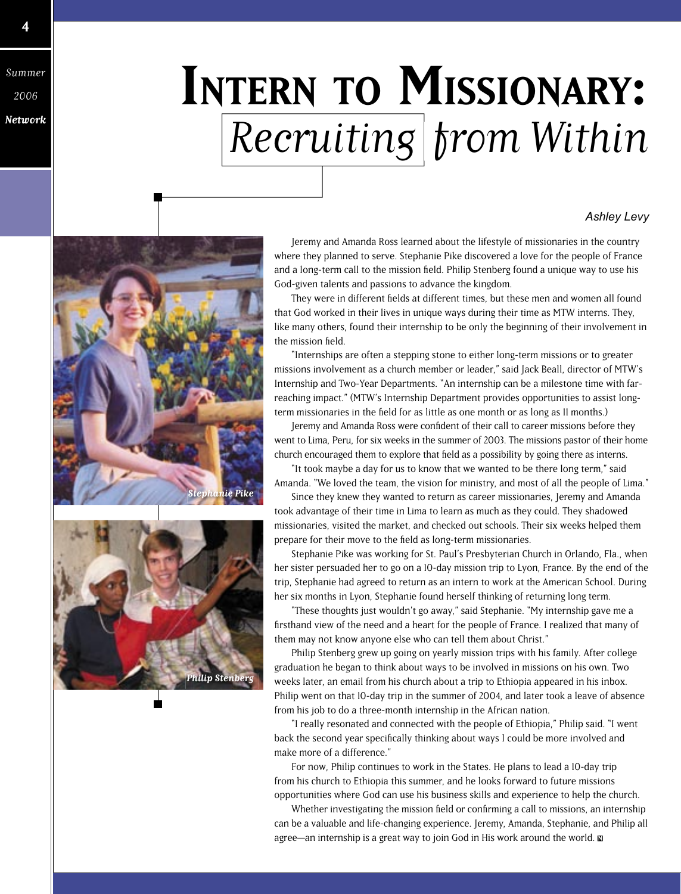Summer 2006

**Network**

## **INTERN TO MISSIONARY:** Recruiting from Within

#### *Ashley Levy*





Jeremy and Amanda Ross learned about the lifestyle of missionaries in the country where they planned to serve. Stephanie Pike discovered a love for the people of France and a long-term call to the mission field. Philip Stenberg found a unique way to use his God-given talents and passions to advance the kingdom.

They were in different fields at different times, but these men and women all found that God worked in their lives in unique ways during their time as MTW interns. They, like many others, found their internship to be only the beginning of their involvement in the mission field.

"Internships are often a stepping stone to either long-term missions or to greater missions involvement as a church member or leader," said Jack Beall, director of MTW's Internship and Two-Year Departments. "An internship can be a milestone time with farreaching impact." (MTW's Internship Department provides opportunities to assist longterm missionaries in the field for as little as one month or as long as II months.)

Jeremy and Amanda Ross were confident of their call to career missions before they went to Lima, Peru, for six weeks in the summer of 2003. The missions pastor of their home church encouraged them to explore that field as a possibility by going there as interns.

"It took maybe a day for us to know that we wanted to be there long term," said Amanda. "We loved the team, the vision for ministry, and most of all the people of Lima."

Since they knew they wanted to return as career missionaries, Jeremy and Amanda took advantage of their time in Lima to learn as much as they could. They shadowed missionaries, visited the market, and checked out schools. Their six weeks helped them prepare for their move to the field as long-term missionaries.

Stephanie Pike was working for St. Paul's Presbyterian Church in Orlando, Fla., when her sister persuaded her to go on a 10-day mission trip to Lyon, France. By the end of the trip, Stephanie had agreed to return as an intern to work at the American School. During her six months in Lyon, Stephanie found herself thinking of returning long term.

"These thoughts just wouldn't go away," said Stephanie. "My internship gave me a firsthand view of the need and a heart for the people of France. I realized that many of them may not know anyone else who can tell them about Christ."

Philip Stenberg grew up going on yearly mission trips with his family. After college graduation he began to think about ways to be involved in missions on his own. Two weeks later, an email from his church about a trip to Ethiopia appeared in his inbox. Philip went on that 10-day trip in the summer of 2004, and later took a leave of absence from his job to do a three-month internship in the African nation.

"I really resonated and connected with the people of Ethiopia," Philip said. "I went back the second year specifically thinking about ways I could be more involved and make more of a difference."

For now, Philip continues to work in the States. He plans to lead a 10-day trip from his church to Ethiopia this summer, and he looks forward to future missions opportunities where God can use his business skills and experience to help the church.

Whether investigating the mission field or confirming a call to missions, an internship can be a valuable and life-changing experience. Jeremy, Amanda, Stephanie, and Philip all agree—an internship is a great way to join God in His work around the world.  $\blacksquare$ 

**4**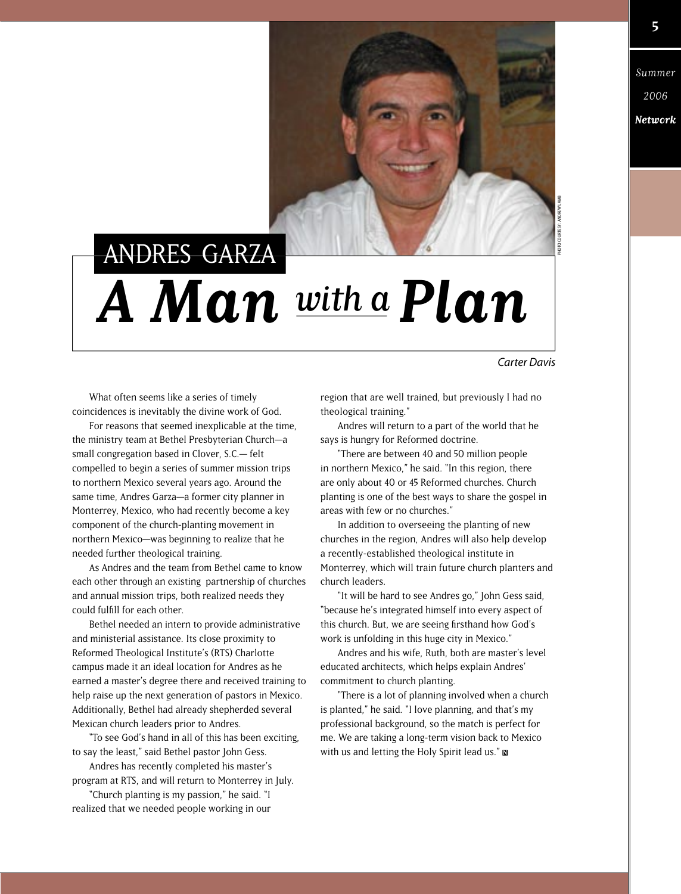

PHOTO COURTESY: ANDREW LAMB

## **A Man** with a **Plan** ANDRES GARZA

*Carter Davis*

What often seems like a series of timely coincidences is inevitably the divine work of God.

For reasons that seemed inexplicable at the time, the ministry team at Bethel Presbyterian Church—a small congregation based in Clover, S.C.— felt compelled to begin a series of summer mission trips to northern Mexico several years ago. Around the same time, Andres Garza—a former city planner in Monterrey, Mexico, who had recently become a key component of the church-planting movement in northern Mexico—was beginning to realize that he needed further theological training.

As Andres and the team from Bethel came to know each other through an existing partnership of churches and annual mission trips, both realized needs they could fulfill for each other.

Bethel needed an intern to provide administrative and ministerial assistance. Its close proximity to Reformed Theological Institute's (RTS) Charlotte campus made it an ideal location for Andres as he earned a master's degree there and received training to help raise up the next generation of pastors in Mexico. Additionally, Bethel had already shepherded several Mexican church leaders prior to Andres.

"To see God's hand in all of this has been exciting, to say the least," said Bethel pastor John Gess.

Andres has recently completed his master's program at RTS, and will return to Monterrey in July.

"Church planting is my passion," he said. "I realized that we needed people working in our region that are well trained, but previously I had no theological training."

Andres will return to a part of the world that he says is hungry for Reformed doctrine.

"There are between 40 and 50 million people in northern Mexico," he said. "In this region, there are only about 40 or 45 Reformed churches. Church planting is one of the best ways to share the gospel in areas with few or no churches."

In addition to overseeing the planting of new churches in the region, Andres will also help develop a recently-established theological institute in Monterrey, which will train future church planters and church leaders.

"It will be hard to see Andres go," John Gess said, "because he's integrated himself into every aspect of this church. But, we are seeing firsthand how God's work is unfolding in this huge city in Mexico."

Andres and his wife, Ruth, both are master's level educated architects, which helps explain Andres' commitment to church planting.

"There is a lot of planning involved when a church is planted," he said. "I love planning, and that's my professional background, so the match is perfect for me. We are taking a long-term vision back to Mexico with us and letting the Holy Spirit lead us."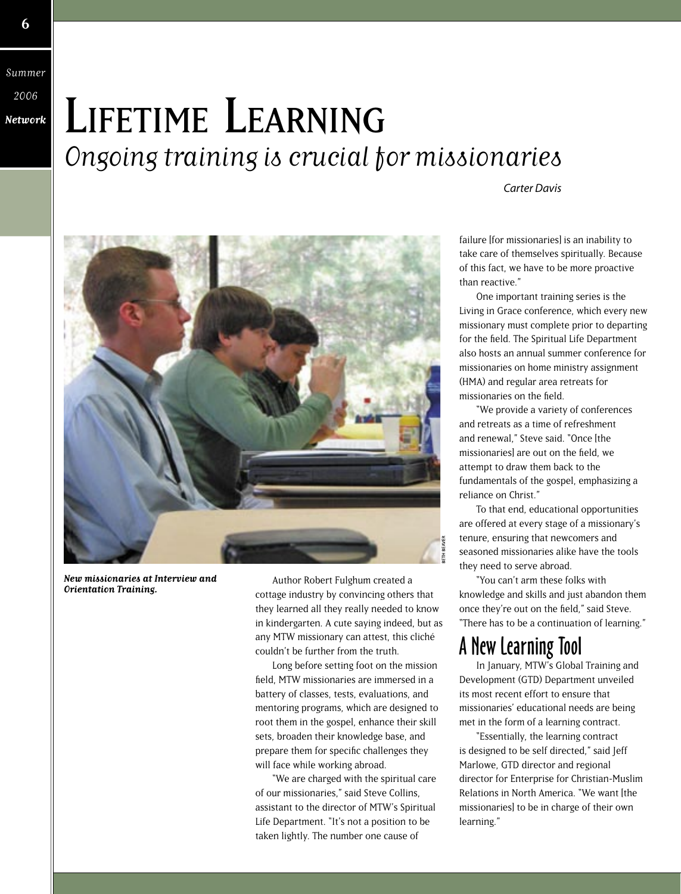Summer 2006 **Network**

## LIFETIME LEARNING Ongoing training is crucial for missionaries

*Carter Davis*



**New missionaries at Interview and Orientation Training.**

Author Robert Fulghum created a cottage industry by convincing others that they learned all they really needed to know in kindergarten. A cute saying indeed, but as any MTW missionary can attest, this cliché couldn't be further from the truth.

Long before setting foot on the mission field, MTW missionaries are immersed in a battery of classes, tests, evaluations, and mentoring programs, which are designed to root them in the gospel, enhance their skill sets, broaden their knowledge base, and prepare them for specific challenges they will face while working abroad.

"We are charged with the spiritual care of our missionaries," said Steve Collins, assistant to the director of MTW's Spiritual Life Department. "It's not a position to be taken lightly. The number one cause of

failure [for missionaries] is an inability to take care of themselves spiritually. Because of this fact, we have to be more proactive than reactive."

One important training series is the Living in Grace conference, which every new missionary must complete prior to departing for the field. The Spiritual Life Department also hosts an annual summer conference for missionaries on home ministry assignment (HMA) and regular area retreats for missionaries on the field.

"We provide a variety of conferences and retreats as a time of refreshment and renewal," Steve said. "Once [the missionaries] are out on the field, we attempt to draw them back to the fundamentals of the gospel, emphasizing a reliance on Christ."

To that end, educational opportunities are offered at every stage of a missionary's tenure, ensuring that newcomers and seasoned missionaries alike have the tools they need to serve abroad.

"You can't arm these folks with knowledge and skills and just abandon them once they're out on the field," said Steve. "There has to be a continuation of learning."

#### A New Learning Tool

In January, MTW's Global Training and Development (GTD) Department unveiled its most recent effort to ensure that missionaries' educational needs are being met in the form of a learning contract.

"Essentially, the learning contract is designed to be self directed," said Jeff Marlowe, GTD director and regional director for Enterprise for Christian-Muslim Relations in North America. "We want [the missionaries] to be in charge of their own learning."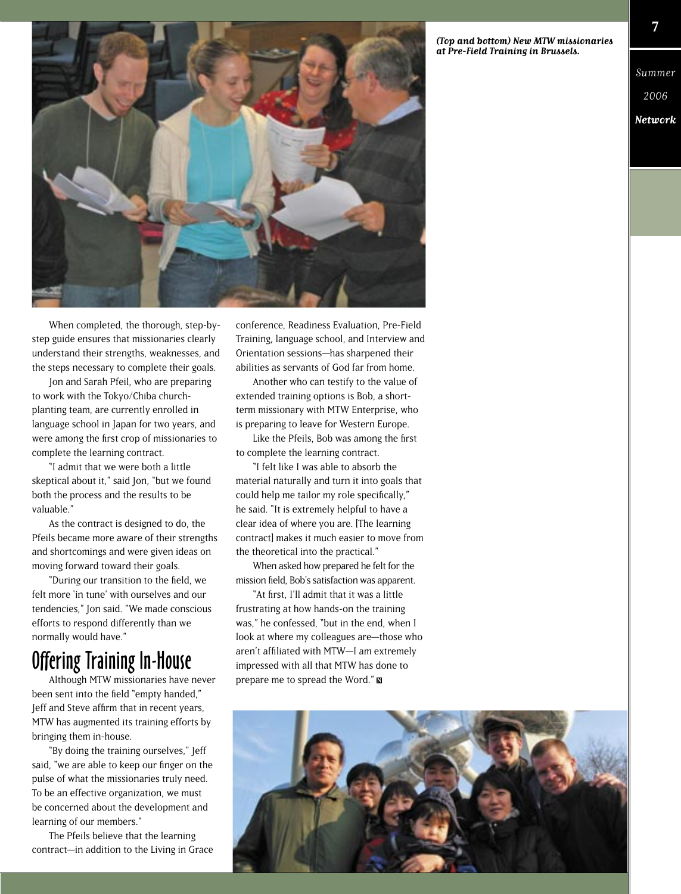**(Top and bottom) New MTW missionaries at Pre-Field Training in Brussels.**



When completed, the thorough, step-bystep guide ensures that missionaries clearly understand their strengths, weaknesses, and the steps necessary to complete their goals.

Jon and Sarah Pfeil, who are preparing to work with the Tokyo/Chiba churchplanting team, are currently enrolled in language school in Japan for two years, and were among the first crop of missionaries to complete the learning contract.

"I admit that we were both a little skeptical about it," said Jon, "but we found both the process and the results to be valuable."

As the contract is designed to do, the Pfeils became more aware of their strengths and shortcomings and were given ideas on moving forward toward their goals.

"During our transition to the field, we felt more 'in tune' with ourselves and our tendencies," Jon said. "We made conscious efforts to respond differently than we normally would have."

#### Offering Training In-House

Although MTW missionaries have never been sent into the field "empty handed," Jeff and Steve affirm that in recent years, MTW has augmented its training efforts by bringing them in-house.

"By doing the training ourselves," Jeff said, "we are able to keep our finger on the pulse of what the missionaries truly need. To be an effective organization, we must be concerned about the development and learning of our members."

The Pfeils believe that the learning contract—in addition to the Living in Grace

conference, Readiness Evaluation, Pre-Field Training, language school, and Interview and Orientation sessions—has sharpened their abilities as servants of God far from home.

Another who can testify to the value of extended training options is Bob, a shortterm missionary with MTW Enterprise, who is preparing to leave for Western Europe.

Like the Pfeils. Bob was among the first to complete the learning contract.

"I felt like I was able to absorb the material naturally and turn it into goals that could help me tailor my role specifically." he said. "It is extremely helpful to have a clear idea of where you are. [The learning contract] makes it much easier to move from the theoretical into the practical."

When asked how prepared he felt for the mission field, Bob's satisfaction was apparent.

"At first, I'll admit that it was a little frustrating at how hands-on the training was," he confessed, "but in the end, when I look at where my colleagues are—those who aren't affiliated with MTW-I am extremely impressed with all that MTW has done to prepare me to spread the Word."



Summer

2006 **Network**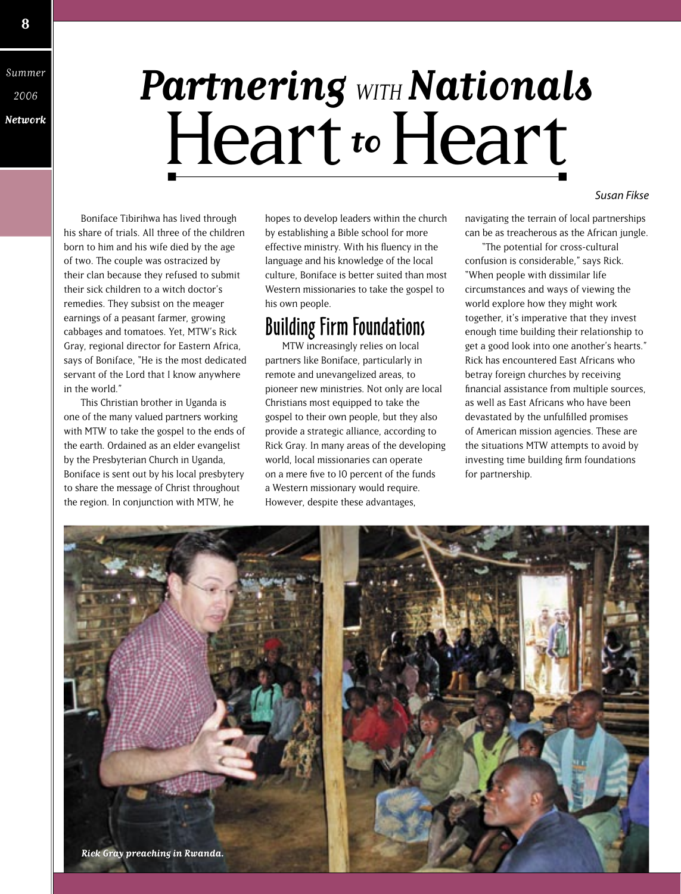Summer 2006 **Network**

**8**

## **Partnering** WITH **Nationals** Heart **to** Heart

Boniface Tibirihwa has lived through his share of trials. All three of the children born to him and his wife died by the age of two. The couple was ostracized by their clan because they refused to submit their sick children to a witch doctor's remedies. They subsist on the meager earnings of a peasant farmer, growing cabbages and tomatoes. Yet, MTW's Rick Gray, regional director for Eastern Africa, says of Boniface, "He is the most dedicated servant of the Lord that I know anywhere in the world."

This Christian brother in Uganda is one of the many valued partners working with MTW to take the gospel to the ends of the earth. Ordained as an elder evangelist by the Presbyterian Church in Uganda, Boniface is sent out by his local presbytery to share the message of Christ throughout the region. In conjunction with MTW, he

hopes to develop leaders within the church by establishing a Bible school for more effective ministry. With his fluency in the language and his knowledge of the local culture, Boniface is better suited than most Western missionaries to take the gospel to his own people.

#### Building Firm Foundations

MTW increasingly relies on local partners like Boniface, particularly in remote and unevangelized areas, to pioneer new ministries. Not only are local Christians most equipped to take the gospel to their own people, but they also provide a strategic alliance, according to Rick Gray. In many areas of the developing world, local missionaries can operate on a mere five to 10 percent of the funds a Western missionary would require. However, despite these advantages,

navigating the terrain of local partnerships can be as treacherous as the African jungle.

*Susan Fikse*

"The potential for cross-cultural confusion is considerable," says Rick. "When people with dissimilar life circumstances and ways of viewing the world explore how they might work together, it's imperative that they invest enough time building their relationship to get a good look into one another's hearts." Rick has encountered East Africans who betray foreign churches by receiving financial assistance from multiple sources, as well as East Africans who have been devastated by the unfulfilled promises of American mission agencies. These are the situations MTW attempts to avoid by investing time building firm foundations for partnership.

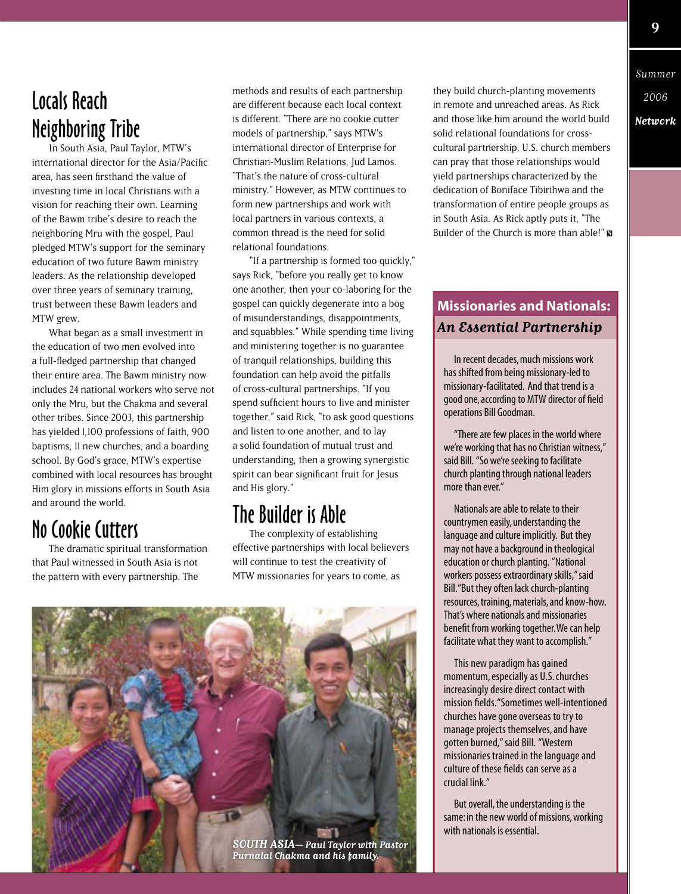### Locals Reach Neighboring Tribe

In South Asia, Paul Taylor, MTW's international director for the Asia/Pacific area, has seen firsthand the value of investing time in local Christians with a vision for reaching their own. Learning of the Bawm tribe's desire to reach the neighboring Mru with the gospel, Paul pledged MTW's support for the seminary education of two future Bawm ministry leaders. As the relationship developed over three years of seminary training, trust between these Bawm leaders and MTW grew.

What began as a small investment in the education of two men evolved into a full-fledged partnership that changed their entire area. The Bawm ministry now includes 24 national workers who serve not only the Mru, but the Chakma and several other tribes. Since 2003, this partnership has yielded 1,100 professions of faith, 900 baptisms, 11 new churches, and a boarding school. By God's grace, MTW's expertise combined with local resources has brought Him glory in missions efforts in South Asia and around the world.

#### No Cookie Cutters

The dramatic spiritual transformation that Paul witnessed in South Asia is not the pattern with every partnership. The

methods and results of each partnership are different because each local context is different. "There are no cookie cutter models of partnership," says MTW's international director of Enterprise for Christian-Muslim Relations, Jud Lamos. "That's the nature of cross-cultural ministry." However, as MTW continues to form new partnerships and work with local partners in various contexts, a common thread is the need for solid relational foundations.

"If a partnership is formed too quickly," says Rick, "before you really get to know one another, then your co-laboring for the gospel can quickly degenerate into a bog of misunderstandings, disappointments, and squabbles." While spending time living and ministering together is no guarantee of tranquil relationships, building this foundation can help avoid the pitfalls of cross-cultural partnerships. "If you spend sufficient hours to live and minister together," said Rick, "to ask good questions and listen to one another, and to lay a solid foundation of mutual trust and understanding, then a growing synergistic spirit can bear significant fruit for Jesus and His glory."

#### The Builder is Able

The complexity of establishing effective partnerships with local believers will continue to test the creativity of MTW missionaries for years to come, as



they build church-planting movements in remote and unreached areas. As Rick and those like him around the world build solid relational foundations for crosscultural partnership, U.S. church members can pray that those relationships would yield partnerships characterized by the dedication of Boniface Tibirihwa and the transformation of entire people groups as in South Asia. As Rick aptly puts it, "The Builder of the Church is more than able!"

#### **Missionaries and Nationals: An Essential Partnership**

In recent decades, much missions work has shifted from being missionary-led to missionary-facilitated. And that trend is a good one, according to MTW director of field operations Bill Goodman.

"There are few places in the world where we're working that has no Christian witness," said Bill. "So we're seeking to facilitate church planting through national leaders more than ever."

Nationals are able to relate to their countrymen easily, understanding the language and culture implicitly. But they may not have a background in theological education or church planting. "National workers possess extraordinary skills," said Bill. "But they often lack church-planting resources, training, materials, and know-how. That's where nationals and missionaries benefit from working together. We can help facilitate what they want to accomplish."

This new paradigm has gained momentum, especially as U.S. churches increasingly desire direct contact with mission fields. "Sometimes well-intentioned churches have gone overseas to try to manage projects themselves, and have gotten burned," said Bill. "Western missionaries trained in the language and culture of these fields can serve as a crucial link."

But overall, the understanding is the same: in the new world of missions, working with nationals is essential.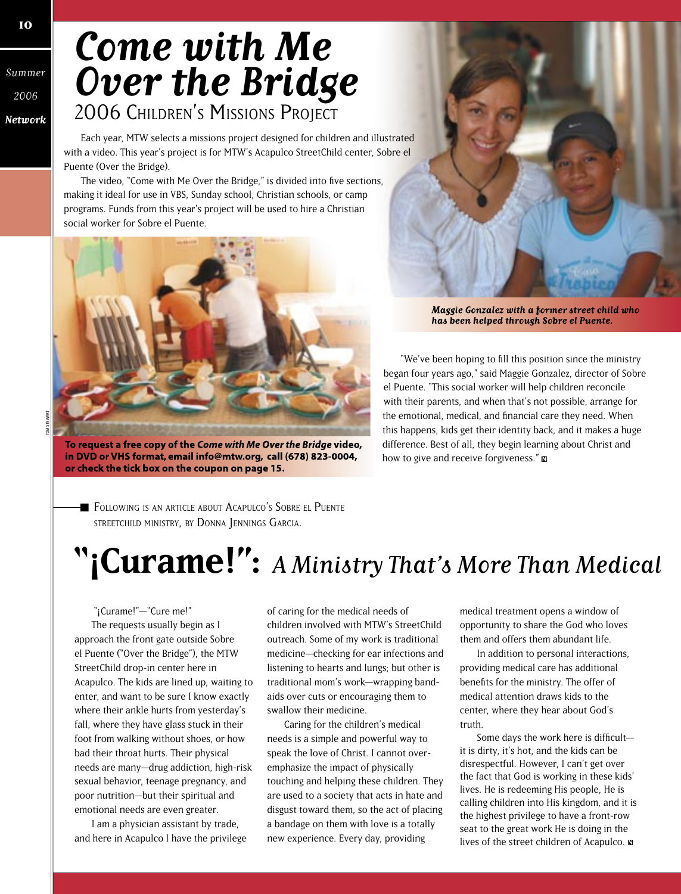## **Come with Me Over the Bridge** 2006 CHILDREN'S MISSIONS PROJECT

Each year, MTW selects a missions project designed for children and illustrated with a video. This year's project is for MTW's Acapulco StreetChild center, Sobre el Puente (Over the Bridge).

The video, "Come with Me Over the Bridge," is divided into five sections, making it ideal for use in VBS, Sunday school, Christian schools, or camp programs. Funds from this year's project will be used to hire a Christian social worker for Sobre el Puente.



To request a free copy of the Come with Me Over the Bridge video, in DVD or VHS format, email info@mtw.org, call (678) 823-0004, or check the tick box on the coupon on page 15.

Maggie Gonzalez with a former street child who has been helped through Sobre el Puente.

"We've been hoping to fill this position since the ministry began four years ago," said Maggie Gonzalez, director of Sobre el Puente. "This social worker will help children reconcile with their parents, and when that's not possible, arrange for the emotional, medical, and financial care they need. When this happens, kids get their identity back, and it makes a huge difference. Best of all, they begin learning about Christ and how to give and receive forgiveness."

FOLLOWING IS AN ARTICLE ABOUT ACAPULCO'S SOBRE EL PUENTE STREETCHILD MINISTRY, BY DONNA JENNINGS GARCIA.

## **"¡Curame!":** A Ministry That's More Than Medical

 "¡Curame!"—"Cure me!" The requests usually begin as I approach the front gate outside Sobre el Puente ("Over the Bridge"), the MTW StreetChild drop-in center here in Acapulco. The kids are lined up, waiting to enter, and want to be sure I know exactly where their ankle hurts from yesterday's fall, where they have glass stuck in their foot from walking without shoes, or how bad their throat hurts. Their physical needs are many—drug addiction, high-risk sexual behavior, teenage pregnancy, and poor nutrition—but their spiritual and emotional needs are even greater.

I am a physician assistant by trade, and here in Acapulco I have the privilege of caring for the medical needs of children involved with MTW's StreetChild outreach. Some of my work is traditional medicine—checking for ear infections and listening to hearts and lungs; but other is traditional mom's work—wrapping bandaids over cuts or encouraging them to swallow their medicine.

Caring for the children's medical needs is a simple and powerful way to speak the love of Christ. I cannot overemphasize the impact of physically touching and helping these children. They are used to a society that acts in hate and disgust toward them, so the act of placing a bandage on them with love is a totally new experience. Every day, providing

medical treatment opens a window of opportunity to share the God who loves them and offers them abundant life.

In addition to personal interactions, providing medical care has additional benefits for the ministry. The offer of medical attention draws kids to the center, where they hear about God's truth.

Some days the work here is difficultit is dirty, it's hot, and the kids can be disrespectful. However, I can't get over the fact that God is working in these kids' lives. He is redeeming His people, He is calling children into His kingdom, and it is the highest privilege to have a front-row seat to the great work He is doing in the lives of the street children of Acapulco.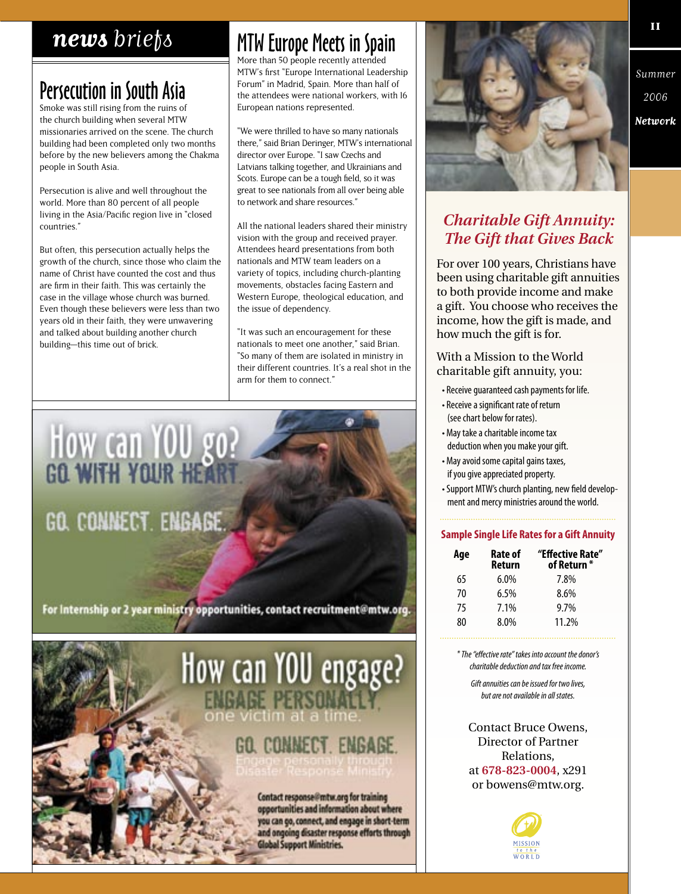#### news briefs

### **Persecution in South Asia**

Smoke was still rising from the ruins of the church building when several MTW missionaries arrived on the scene. The church building had been completed only two months before by the new believers among the Chakma people in South Asia.

Persecution is alive and well throughout the world. More than 80 percent of all people living in the Asia/Pacific region live in "closed countries."

But often, this persecution actually helps the growth of the church, since those who claim the name of Christ have counted the cost and thus are firm in their faith. This was certainly the case in the village whose church was burned. Even though these believers were less than two years old in their faith, they were unwavering and talked about building another church building-this time out of brick.

### **MTW Europe Meets in Spain**

More than 50 people recently attended MTW's first "Europe International Leadership Forum" in Madrid, Spain. More than half of the attendees were national workers, with 16 European nations represented.

"We were thrilled to have so many nationals there," said Brian Deringer, MTW's international director over Europe. "I saw Czechs and Latvians talking together, and Ukrainians and Scots. Europe can be a tough field, so it was great to see nationals from all over being able to network and share resources."

All the national leaders shared their ministry vision with the group and received prayer. Attendees heard presentations from both nationals and MTW team leaders on a variety of topics, including church-planting movements, obstacles facing Eastern and Western Europe, theological education, and the issue of dependency.

"It was such an encouragement for these nationals to meet one another," said Brian. "So many of them are isolated in ministry in their different countries. It's a real shot in the arm for them to connect."





Summer 2006 Network

#### **Charitable Gift Annuity: The Gift that Gives Back**

For over 100 years, Christians have been using charitable gift annuities to both provide income and make a gift. You choose who receives the income, how the gift is made, and how much the gift is for.

With a Mission to the World charitable gift annuity, you:

- Receive guaranteed cash payments for life.
- Receive a significant rate of return (see chart below for rates).
- · May take a charitable income tax deduction when you make your gift.
- May avoid some capital gains taxes, if you give appreciated property.
- Support MTW's church planting, new field development and mercy ministries around the world.

#### **Sample Single Life Rates for a Gift Annuity**

| Age | <b>Rate of</b><br>Return | "Effective Rate"<br>of Return * |
|-----|--------------------------|---------------------------------|
| 65  | $6.0\%$                  | 7.8%                            |
| 70  | 6.5%                     | 8.6%                            |
| 75  | 7.1%                     | 9.7%                            |
| 80  | 8.0%                     | 11.2%                           |

\* The "effective rate" takes into account the donor's charitable deduction and tay free income

Gift annuities can be issued for two lives, but are not available in all states.

**Contact Bruce Owens, Director of Partner** Relations. at 678-823-0004, x291 or bowens@mtw.org.

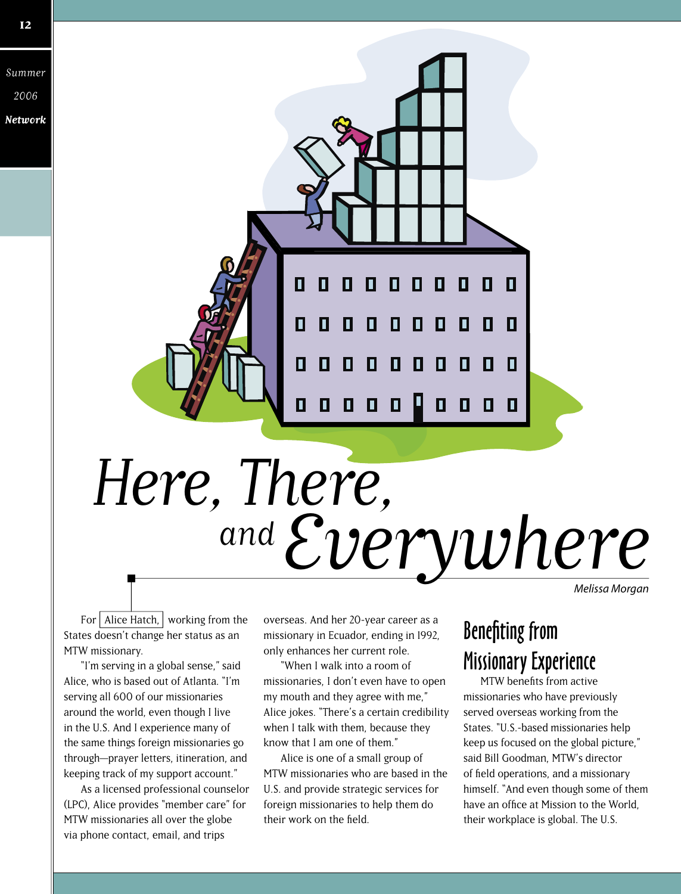

# and Everywhere Here, There,

*Melissa Morgan*

For  $\vert$  Alice Hatch,  $\vert$  working from the States doesn't change her status as an MTW missionary.

"I'm serving in a global sense," said Alice, who is based out of Atlanta. "I'm serving all 600 of our missionaries around the world, even though I live in the U.S. And I experience many of the same things foreign missionaries go through—prayer letters, itineration, and keeping track of my support account."

As a licensed professional counselor (LPC), Alice provides "member care" for MTW missionaries all over the globe via phone contact, email, and trips

overseas. And her 20-year career as a missionary in Ecuador, ending in 1992, only enhances her current role.

"When I walk into a room of missionaries, I don't even have to open my mouth and they agree with me," Alice jokes. "There's a certain credibility when I talk with them, because they know that I am one of them."

Alice is one of a small group of MTW missionaries who are based in the U.S. and provide strategic services for foreign missionaries to help them do their work on the field.

### **Benefiting from** Missionary Experience

MTW benefits from active missionaries who have previously served overseas working from the States. "U.S.-based missionaries help keep us focused on the global picture," said Bill Goodman, MTW's director of field operations, and a missionary himself. "And even though some of them have an office at Mission to the World. their workplace is global. The U.S.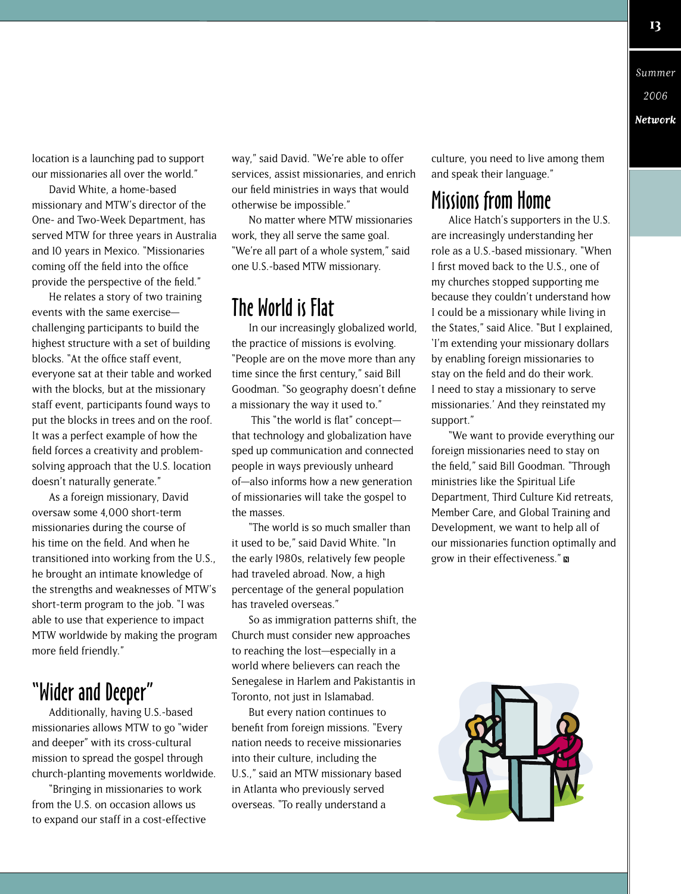location is a launching pad to support our missionaries all over the world."

David White, a home-based missionary and MTW's director of the One- and Two-Week Department, has served MTW for three years in Australia and 10 years in Mexico. "Missionaries coming off the field into the office provide the perspective of the field."

He relates a story of two training events with the same exercise challenging participants to build the highest structure with a set of building blocks. "At the office staff event. everyone sat at their table and worked with the blocks, but at the missionary staff event, participants found ways to put the blocks in trees and on the roof. It was a perfect example of how the field forces a creativity and problemsolving approach that the U.S. location doesn't naturally generate."

As a foreign missionary, David oversaw some 4,000 short-term missionaries during the course of his time on the field. And when he transitioned into working from the U.S., he brought an intimate knowledge of the strengths and weaknesses of MTW's short-term program to the job. "I was able to use that experience to impact MTW worldwide by making the program more field friendly."

#### "Wider and Deeper"

Additionally, having U.S.-based missionaries allows MTW to go "wider and deeper" with its cross-cultural mission to spread the gospel through church-planting movements worldwide.

"Bringing in missionaries to work from the U.S. on occasion allows us to expand our staff in a cost-effective way," said David. "We're able to offer services, assist missionaries, and enrich our field ministries in ways that would otherwise be impossible."

No matter where MTW missionaries work, they all serve the same goal. "We're all part of a whole system," said one U.S.-based MTW missionary.

#### The World is Flat

In our increasingly globalized world, the practice of missions is evolving. "People are on the move more than any time since the first century," said Bill Goodman. "So geography doesn't define a missionary the way it used to."

This "the world is flat" conceptthat technology and globalization have sped up communication and connected people in ways previously unheard of—also informs how a new generation of missionaries will take the gospel to the masses.

"The world is so much smaller than it used to be," said David White. "In the early 1980s, relatively few people had traveled abroad. Now, a high percentage of the general population has traveled overseas."

So as immigration patterns shift, the Church must consider new approaches to reaching the lost—especially in a world where believers can reach the Senegalese in Harlem and Pakistantis in Toronto, not just in Islamabad.

But every nation continues to benefit from foreign missions. "Every nation needs to receive missionaries into their culture, including the U.S.," said an MTW missionary based in Atlanta who previously served overseas. "To really understand a

culture, you need to live among them and speak their language."

#### Missions from Home

Alice Hatch's supporters in the U.S. are increasingly understanding her role as a U.S.-based missionary. "When I first moved back to the U.S., one of my churches stopped supporting me because they couldn't understand how I could be a missionary while living in the States," said Alice. "But I explained, 'I'm extending your missionary dollars by enabling foreign missionaries to stay on the field and do their work. I need to stay a missionary to serve missionaries.' And they reinstated my support."

"We want to provide everything our foreign missionaries need to stay on the field," said Bill Goodman. "Through ministries like the Spiritual Life Department, Third Culture Kid retreats, Member Care, and Global Training and Development, we want to help all of our missionaries function optimally and grow in their effectiveness."



Summer

2006 **Network**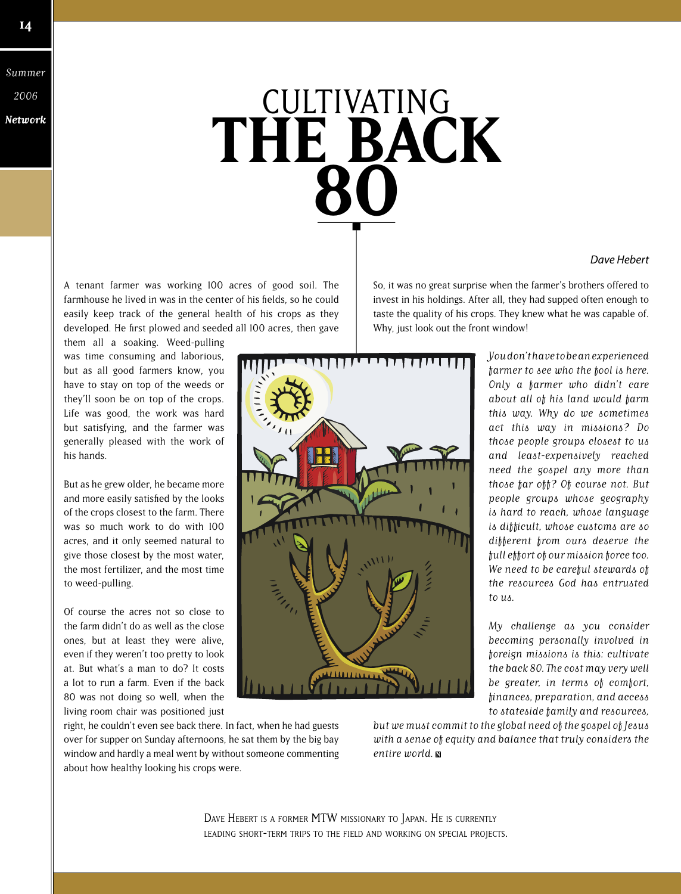Summer 2006

## **Network THE BACK 80 CULTIVATING**

#### A tenant farmer was working 100 acres of good soil. The farmhouse he lived in was in the center of his fields, so he could easily keep track of the general health of his crops as they developed. He first plowed and seeded all 100 acres, then gave

them all a soaking. Weed-pulling was time consuming and laborious, but as all good farmers know, you have to stay on top of the weeds or they'll soon be on top of the crops. Life was good, the work was hard but satisfying, and the farmer was generally pleased with the work of his hands.

But as he grew older, he became more and more easily satisfied by the looks of the crops closest to the farm. There was so much work to do with 100 acres, and it only seemed natural to give those closest by the most water, the most fertilizer, and the most time to weed-pulling.

Of course the acres not so close to the farm didn't do as well as the close ones, but at least they were alive, even if they weren't too pretty to look at. But what's a man to do? It costs a lot to run a farm. Even if the back 80 was not doing so well, when the living room chair was positioned just

right, he couldn't even see back there. In fact, when he had guests over for supper on Sunday afternoons, he sat them by the big bay window and hardly a meal went by without someone commenting about how healthy looking his crops were.

So, it was no great surprise when the farmer's brothers offered to invest in his holdings. After all, they had supped often enough to taste the quality of his crops. They knew what he was capable of. Why, just look out the front window!



You don't have to be an experienced farmer to see who the fool is here. Only a farmer who didn't care about all of his land would farm this way. Why do we sometimes act this way in missions? Do those people groups closest to us and least-expensively reached need the gospel any more than those far off? Of course not. But people groups whose geography is hard to reach, whose language is difficult, whose customs are so different from ours deserve the full effort of our mission force too. We need to be careful stewards of the resources God has entrusted to us.

*Dave Hebert*

My challenge as you consider becoming personally involved in foreign missions is this: cultivate the back 80. The cost may very well be greater, in terms of comfort, fi nances, preparation, and access to stateside family and resources,

but we must commit to the global need of the gospel of Jesus with a sense of equity and balance that truly considers the entire world.

DAVE HEBERT IS <sup>A</sup> FORMER MTW MISSIONARY TO JAPAN. HE IS CURRENTLY LEADING SHORT-TERM TRIPS TO THE FIELD AND WORKING ON SPECIAL PROJECTS.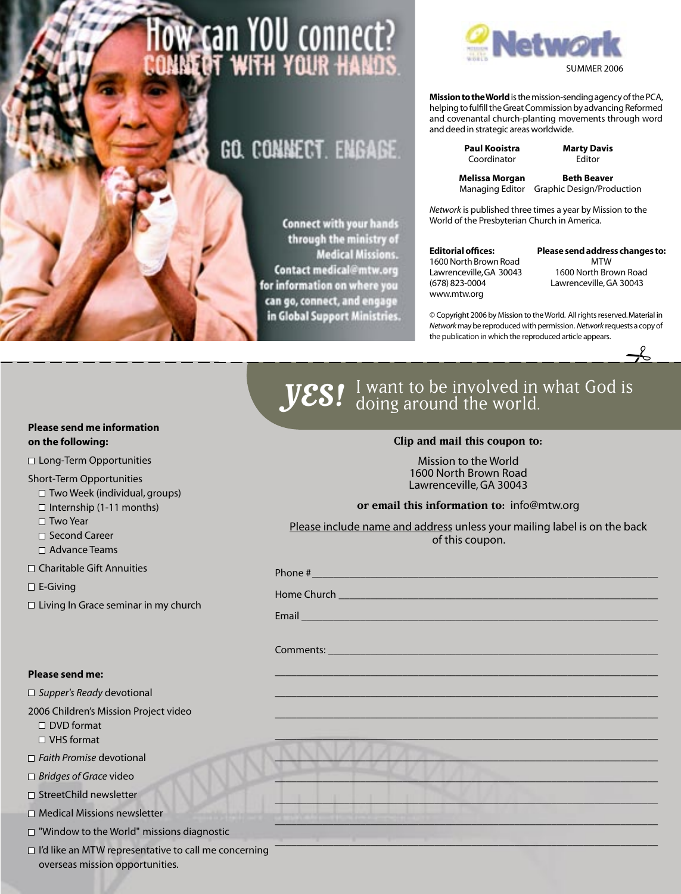# **OW Can YOU connect?**<br>INNEOT WITH YOUR HANDS

### GO. CONNECT. ENGAGE.

**Connect with your hands** through the ministry of **Medical Missions.** Contact medical@mtw.org for information on where you can go, connect, and engage in Global Support Ministries.



**Mission to the World** is the mission-sending agency of the PCA, helping to fulfill the Great Commission by advancing Reformed and covenantal church-planting movements through word and deed in strategic areas worldwide.

> **Paul Kooistra Marty Davis**<br>Coordinator **Marty Davis** Coordinator

**Melissa Morgan Beth Beaver** Managing Editor Graphic Design/Production

*Network* is published three times a year by Mission to the World of the Presbyterian Church in America.

#### **Editorial offices:**

1600 North Brown Road Lawrenceville, GA 30043 (678) 823-0004 www.mtw.org

**Please send address changes to:**  MTW 1600 North Brown Road Lawrenceville, GA 30043

 $\rightarrow \simeq$ 

© Copyright 2006 by Mission to the World. All rights reserved. Material in *Network* may be reproduced with permission. *Network* requests a copy of the publication in which the reproduced article appears.



#### **Please send me information on the following:**

□ Long-Term Opportunities

Short-Term Opportunities

 $\Box$  Two Week (individual, groups)

- $\Box$  Internship (1-11 months)
- □ Two Year
- □ Second Career
- □ Advance Teams

Charitable Gift Annuities

□ E-Giving

 $\Box$  Living In Grace seminar in my church

#### **Please send me:**

*Supper's Ready* devotional

2006 Children's Mission Project video

- □ DVD format
- □ VHS format
- *Faith Promise* devotional
- *Bridges of Grace* video
- □ StreetChild newsletter
- $\square$  Medical Missions newsletter
- □ "Window to the World" missions diagnostic
- $\Box$  I'd like an MTW representative to call me concerning overseas mission opportunities.

#### Mission to the World 1600 North Brown Road

**Clip and mail this coupon to:**

Lawrenceville, GA 30043

**or email this information to:** info@mtw.org

Please include name and address unless your mailing label is on the back of this coupon.

\_\_\_\_\_\_\_\_\_\_\_\_\_\_\_\_\_\_\_\_\_\_\_\_\_\_\_\_\_\_\_\_\_\_\_\_\_\_\_\_\_\_\_\_\_\_\_\_\_\_\_\_\_\_\_\_\_\_\_\_\_\_\_\_\_\_\_\_\_\_\_\_ \_\_\_\_\_\_\_\_\_\_\_\_\_\_\_\_\_\_\_\_\_\_\_\_\_\_\_\_\_\_\_\_\_\_\_\_\_\_\_\_\_\_\_\_\_\_\_\_\_\_\_\_\_\_\_\_\_\_\_\_\_\_\_\_\_\_\_\_\_\_\_\_ \_\_\_\_\_\_\_\_\_\_\_\_\_\_\_\_\_\_\_\_\_\_\_\_\_\_\_\_\_\_\_\_\_\_\_\_\_\_\_\_\_\_\_\_\_\_\_\_\_\_\_\_\_\_\_\_\_\_\_\_\_\_\_\_\_\_\_\_\_\_\_\_

Phone # \_\_\_\_\_\_\_\_\_\_\_\_\_\_\_\_\_\_\_\_\_\_\_\_\_\_\_\_\_\_\_\_\_\_\_\_\_\_\_\_\_\_\_\_\_\_\_\_\_\_\_\_\_\_\_\_\_\_\_\_\_\_\_\_\_

Home Church

Email \_\_\_\_\_\_\_\_\_\_\_\_\_\_\_\_\_\_\_\_\_\_\_\_\_\_\_\_\_\_\_\_\_\_\_\_\_\_\_\_\_\_\_\_\_\_\_\_\_\_\_\_\_\_\_\_\_\_\_\_\_\_\_\_\_\_\_

Comments: \_\_\_\_\_\_\_\_\_\_\_\_\_\_\_\_\_\_\_\_\_\_\_\_\_\_\_\_\_\_\_\_\_\_\_\_\_\_\_\_\_\_\_\_\_\_\_\_\_\_\_\_\_\_\_\_\_\_\_\_\_\_



 $\mathcal{L}=\mathcal{L}=\mathcal{L}=\mathcal{L}=\mathcal{L}=\mathcal{L}=\mathcal{L}=\mathcal{L}=\mathcal{L}=\mathcal{L}=\mathcal{L}=\mathcal{L}=\mathcal{L}=\mathcal{L}=\mathcal{L}=\mathcal{L}=\mathcal{L}=\mathcal{L}=\mathcal{L}=\mathcal{L}=\mathcal{L}=\mathcal{L}=\mathcal{L}=\mathcal{L}=\mathcal{L}=\mathcal{L}=\mathcal{L}=\mathcal{L}=\mathcal{L}=\mathcal{L}=\mathcal{L}=\mathcal{L}=\mathcal{L}=\mathcal{L}=\mathcal{L}=\mathcal{L}=\mathcal{$